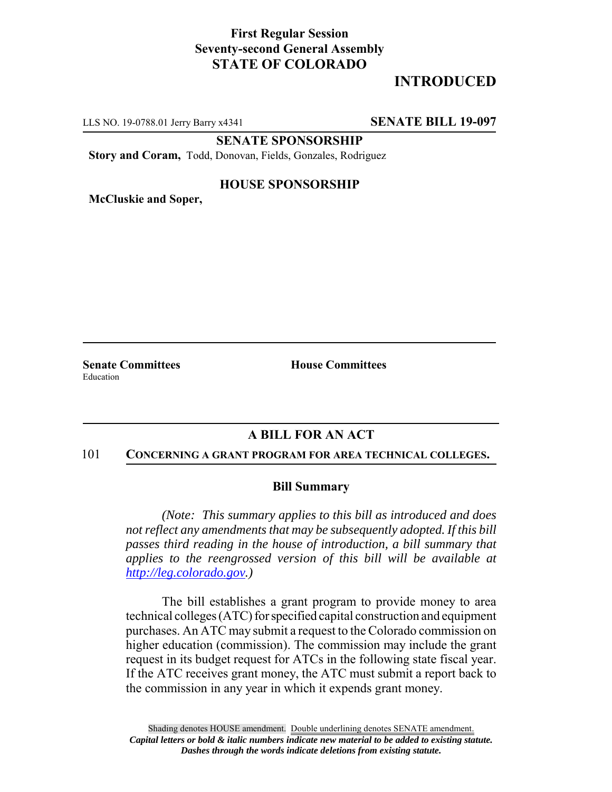# **First Regular Session Seventy-second General Assembly STATE OF COLORADO**

# **INTRODUCED**

LLS NO. 19-0788.01 Jerry Barry x4341 **SENATE BILL 19-097**

**SENATE SPONSORSHIP**

**Story and Coram,** Todd, Donovan, Fields, Gonzales, Rodriguez

### **HOUSE SPONSORSHIP**

**McCluskie and Soper,**

Education

**Senate Committees House Committees** 

## **A BILL FOR AN ACT**

#### 101 **CONCERNING A GRANT PROGRAM FOR AREA TECHNICAL COLLEGES.**

#### **Bill Summary**

*(Note: This summary applies to this bill as introduced and does not reflect any amendments that may be subsequently adopted. If this bill passes third reading in the house of introduction, a bill summary that applies to the reengrossed version of this bill will be available at http://leg.colorado.gov.)*

The bill establishes a grant program to provide money to area technical colleges (ATC) for specified capital construction and equipment purchases. An ATC may submit a request to the Colorado commission on higher education (commission). The commission may include the grant request in its budget request for ATCs in the following state fiscal year. If the ATC receives grant money, the ATC must submit a report back to the commission in any year in which it expends grant money.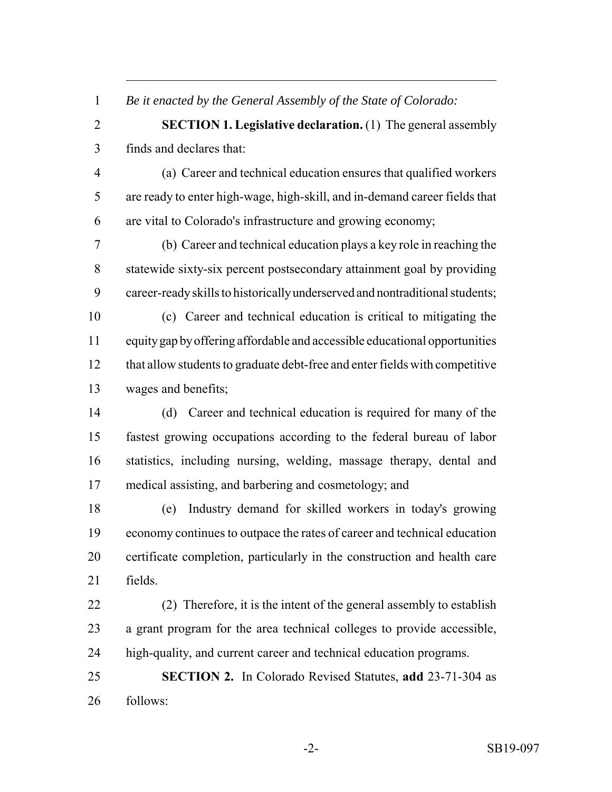*Be it enacted by the General Assembly of the State of Colorado:*

 **SECTION 1. Legislative declaration.** (1) The general assembly finds and declares that:

 (a) Career and technical education ensures that qualified workers are ready to enter high-wage, high-skill, and in-demand career fields that are vital to Colorado's infrastructure and growing economy;

 (b) Career and technical education plays a key role in reaching the statewide sixty-six percent postsecondary attainment goal by providing career-ready skills to historically underserved and nontraditional students;

 (c) Career and technical education is critical to mitigating the equity gap by offering affordable and accessible educational opportunities that allow students to graduate debt-free and enter fields with competitive wages and benefits;

 (d) Career and technical education is required for many of the fastest growing occupations according to the federal bureau of labor statistics, including nursing, welding, massage therapy, dental and medical assisting, and barbering and cosmetology; and

 (e) Industry demand for skilled workers in today's growing economy continues to outpace the rates of career and technical education certificate completion, particularly in the construction and health care fields.

 (2) Therefore, it is the intent of the general assembly to establish a grant program for the area technical colleges to provide accessible, high-quality, and current career and technical education programs.

 **SECTION 2.** In Colorado Revised Statutes, **add** 23-71-304 as follows: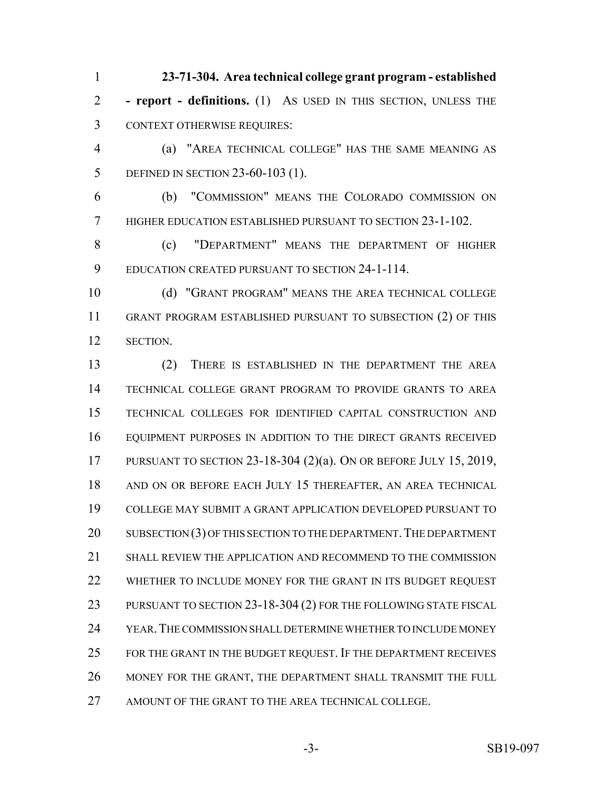**23-71-304. Area technical college grant program - established - report - definitions.** (1) AS USED IN THIS SECTION, UNLESS THE CONTEXT OTHERWISE REQUIRES:

 (a) "AREA TECHNICAL COLLEGE" HAS THE SAME MEANING AS DEFINED IN SECTION 23-60-103 (1).

 (b) "COMMISSION" MEANS THE COLORADO COMMISSION ON HIGHER EDUCATION ESTABLISHED PURSUANT TO SECTION 23-1-102.

 (c) "DEPARTMENT" MEANS THE DEPARTMENT OF HIGHER EDUCATION CREATED PURSUANT TO SECTION 24-1-114.

 (d) "GRANT PROGRAM" MEANS THE AREA TECHNICAL COLLEGE GRANT PROGRAM ESTABLISHED PURSUANT TO SUBSECTION (2) OF THIS SECTION.

 (2) THERE IS ESTABLISHED IN THE DEPARTMENT THE AREA TECHNICAL COLLEGE GRANT PROGRAM TO PROVIDE GRANTS TO AREA TECHNICAL COLLEGES FOR IDENTIFIED CAPITAL CONSTRUCTION AND EQUIPMENT PURPOSES IN ADDITION TO THE DIRECT GRANTS RECEIVED PURSUANT TO SECTION 23-18-304 (2)(a). ON OR BEFORE JULY 15, 2019, AND ON OR BEFORE EACH JULY 15 THEREAFTER, AN AREA TECHNICAL COLLEGE MAY SUBMIT A GRANT APPLICATION DEVELOPED PURSUANT TO 20 SUBSECTION (3) OF THIS SECTION TO THE DEPARTMENT. THE DEPARTMENT SHALL REVIEW THE APPLICATION AND RECOMMEND TO THE COMMISSION 22 WHETHER TO INCLUDE MONEY FOR THE GRANT IN ITS BUDGET REQUEST 23 PURSUANT TO SECTION 23-18-304 (2) FOR THE FOLLOWING STATE FISCAL YEAR.THE COMMISSION SHALL DETERMINE WHETHER TO INCLUDE MONEY FOR THE GRANT IN THE BUDGET REQUEST. IF THE DEPARTMENT RECEIVES MONEY FOR THE GRANT, THE DEPARTMENT SHALL TRANSMIT THE FULL AMOUNT OF THE GRANT TO THE AREA TECHNICAL COLLEGE.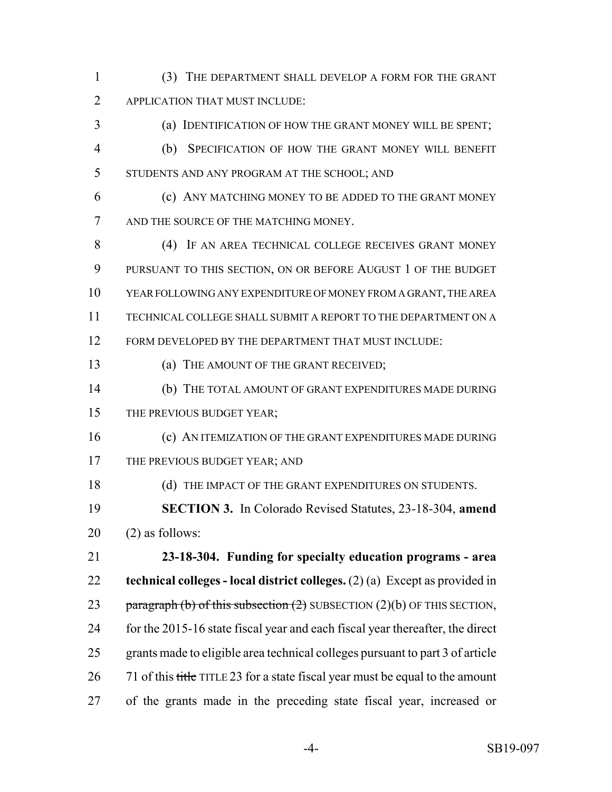(3) THE DEPARTMENT SHALL DEVELOP A FORM FOR THE GRANT APPLICATION THAT MUST INCLUDE:

 (a) IDENTIFICATION OF HOW THE GRANT MONEY WILL BE SPENT; (b) SPECIFICATION OF HOW THE GRANT MONEY WILL BENEFIT STUDENTS AND ANY PROGRAM AT THE SCHOOL; AND

 (c) ANY MATCHING MONEY TO BE ADDED TO THE GRANT MONEY AND THE SOURCE OF THE MATCHING MONEY.

 (4) IF AN AREA TECHNICAL COLLEGE RECEIVES GRANT MONEY PURSUANT TO THIS SECTION, ON OR BEFORE AUGUST 1 OF THE BUDGET YEAR FOLLOWING ANY EXPENDITURE OF MONEY FROM A GRANT, THE AREA TECHNICAL COLLEGE SHALL SUBMIT A REPORT TO THE DEPARTMENT ON A FORM DEVELOPED BY THE DEPARTMENT THAT MUST INCLUDE:

13 (a) THE AMOUNT OF THE GRANT RECEIVED;

 (b) THE TOTAL AMOUNT OF GRANT EXPENDITURES MADE DURING 15 THE PREVIOUS BUDGET YEAR;

 (c) AN ITEMIZATION OF THE GRANT EXPENDITURES MADE DURING 17 THE PREVIOUS BUDGET YEAR; AND

18 (d) THE IMPACT OF THE GRANT EXPENDITURES ON STUDENTS.

 **SECTION 3.** In Colorado Revised Statutes, 23-18-304, **amend** (2) as follows:

 **23-18-304. Funding for specialty education programs - area technical colleges - local district colleges.** (2) (a) Except as provided in 23 paragraph (b) of this subsection  $(2)$  SUBSECTION  $(2)(b)$  OF THIS SECTION, for the 2015-16 state fiscal year and each fiscal year thereafter, the direct grants made to eligible area technical colleges pursuant to part 3 of article 26 71 of this title TITLE 23 for a state fiscal year must be equal to the amount of the grants made in the preceding state fiscal year, increased or